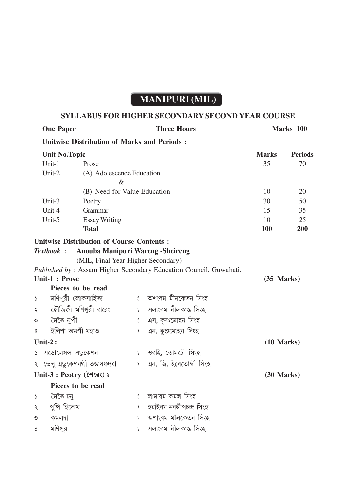## **MANIPURI (MIL)**

## **SYLLABUS FOR HIGHER SECONDARY SECOND YEAR COURSE**

| <b>One Paper</b>                                   |                       | <b>Three Hours</b>                               |         |                                                                   | Marks 100    |                |  |  |
|----------------------------------------------------|-----------------------|--------------------------------------------------|---------|-------------------------------------------------------------------|--------------|----------------|--|--|
| <b>Unitwise Distribution of Marks and Periods:</b> |                       |                                                  |         |                                                                   |              |                |  |  |
|                                                    | <b>Unit No. Topic</b> |                                                  |         |                                                                   | <b>Marks</b> | <b>Periods</b> |  |  |
|                                                    | Unit-1                | Prose                                            |         |                                                                   | 35           | 70             |  |  |
|                                                    | Unit-2                | (A) Adolescence Education                        |         |                                                                   |              |                |  |  |
|                                                    |                       | $\&$                                             |         |                                                                   |              |                |  |  |
|                                                    |                       | (B) Need for Value Education                     |         |                                                                   | 10           | 20             |  |  |
|                                                    | Unit-3                | Poetry                                           |         |                                                                   | 30           | 50             |  |  |
|                                                    | Unit-4                | Grammar                                          |         |                                                                   | 15           | 35             |  |  |
|                                                    | Unit-5                | <b>Essay Writing</b>                             |         |                                                                   | 10           | 25             |  |  |
|                                                    |                       | <b>Total</b>                                     |         |                                                                   | <b>100</b>   | 200            |  |  |
|                                                    |                       | <b>Unitwise Distribution of Course Contents:</b> |         |                                                                   |              |                |  |  |
|                                                    | Textbook :            | Anouba Manipuri Wareng -Sheireng                 |         |                                                                   |              |                |  |  |
|                                                    |                       | (MIL, Final Year Higher Secondary)               |         |                                                                   |              |                |  |  |
|                                                    |                       |                                                  |         | Published by: Assam Higher Secondary Education Council, Guwahati. |              |                |  |  |
|                                                    | Unit-1 : Prose        | (35 Marks)                                       |         |                                                                   |              |                |  |  |
|                                                    | Pieces to be read     |                                                  |         |                                                                   |              |                |  |  |
| $\vert$ $\vert$                                    | মণিপুরী লোকসাহিত্য    |                                                  | $\circ$ | অশংবম মীনকেতন সিংহ                                                |              |                |  |  |
| $\frac{1}{2}$                                      |                       | হৌজিক্কী মণিপুরী ৱারেং                           | $\circ$ | এলাংবম নীলকান্ত সিংহ                                              |              |                |  |  |
| $\overline{O}$                                     | মৈতৈ নুপী             |                                                  | $\circ$ | এস, কৃষ্ণমোহন সিংহ                                                |              |                |  |  |
| 8 <sup>1</sup>                                     | ইলিশা অমগী মহাও       |                                                  | $\circ$ | এন, কুঞ্জমোহন সিংহ                                                |              |                |  |  |
| Unit- $2:$                                         |                       |                                                  |         |                                                                   | $(10$ Marks) |                |  |  |
|                                                    | ১। এডোলেসন্স এডুকেশন  |                                                  | $\circ$ | ওৱাই, তোমচৌ সিংহ                                                  |              |                |  |  |
|                                                    |                       | ২। ভেলু এডুকেশনগী তঙায়ফদবা                      | $\circ$ | এন. জি. ইবেতোম্বী সিংহ                                            |              |                |  |  |
| Unit-3: Peotry (लिंद्राः) :                        |                       |                                                  |         |                                                                   | (30 Marks)   |                |  |  |
|                                                    | Pieces to be read     |                                                  |         |                                                                   |              |                |  |  |
| $\geq$                                             | মৈতৈ চনু              |                                                  | $\circ$ | লামাবম কমল সিংহ                                                   |              |                |  |  |
| ২।                                                 | পুন্সি হিদোম          |                                                  | $\circ$ | হৱাইবম নবদ্বীপচন্দ্ৰ সিংহ                                         |              |                |  |  |
| $\circ$                                            | কমলদা                 |                                                  | $\circ$ | অশাংবম মীনকেতন সিংহ                                               |              |                |  |  |
| 8                                                  | মণিপর                 |                                                  | $\circ$ | এলাংবম নীলকান্ত সিংহ                                              |              |                |  |  |